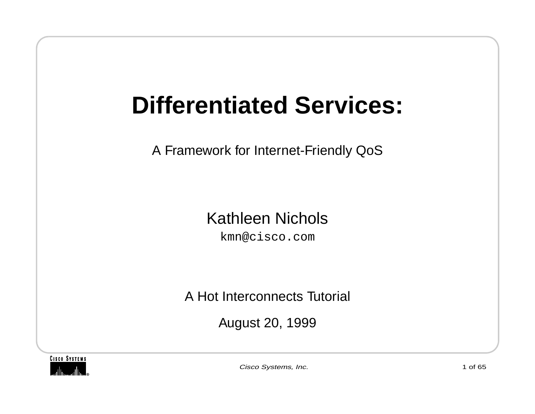# **Differentiated Services:**

A Framework for Internet-Friendly QoS

#### Kathleen Nichols

kmn@cisco.com

A Hot Interconnects Tutorial

August 20, 1999



Cisco Systems, Inc. 1 of 65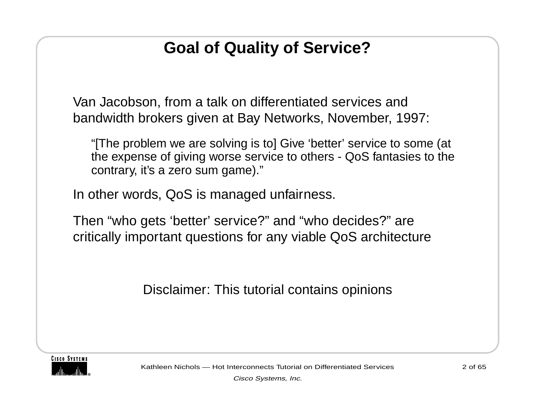#### **Goal of Quality of Service?**

Van Jacobson, from a talk on differentiated services and bandwidth brokers given at Bay Networks, November, 1997:

"[The problem we are solving is to] Give 'better' service to some (at the expense of giving worse service to others - QoS fantasies to the contrary, it's a zero sum game)."

In other words, QoS is managed unfairness.

Then "who gets 'better' service?" and "who decides?" are critically important questions for any viable QoS architecture

Disclaimer: This tutorial contains opinions



Kathleen Nichols — Hot Interconnects Tutorial on Differentiated Services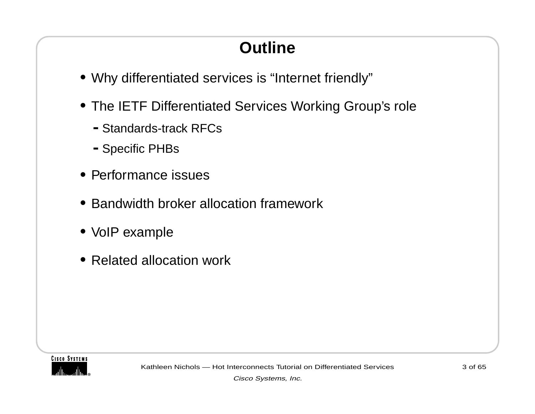### **Outline**

- **•** Why differentiated services is "Internet friendly"
- **•** The IETF Differentiated Services Working Group's role
	- **-**Standards-track RFCs
	- **-**Specific PHBs
- **•** Performance issues
- **•** Bandwidth broker allocation framework
- **•** VoIP example
- **•** Related allocation work

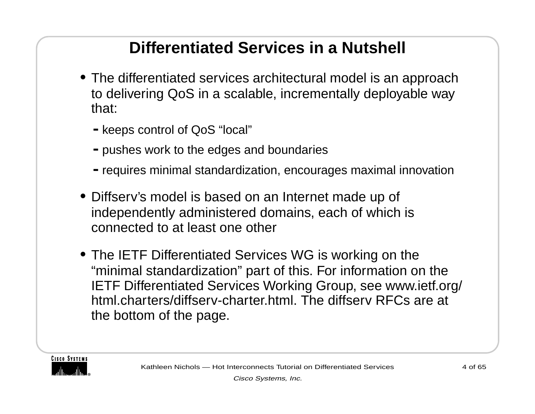#### **Differentiated Services in a Nutshell**

- **•** The differentiated services architectural model is an approach to delivering QoS in a scalable, incrementally deployable way that:
	- **-**keeps control of QoS "local"
	- **-**pushes work to the edges and boundaries
	- **-**requires minimal standardization, encourages maximal innovation
- **•** Diffserv's model is based on an Internet made up of independently administered domains, each of which is connected to at least one other
- **•** The IETF Differentiated Services WG is working on the "minimal standardization" part of this. For information on the IETF Differentiated Services Working Group, see www.ietf.org/ html.charters/diffserv-charter.html. The diffserv RFCs are at the bottom of the page.

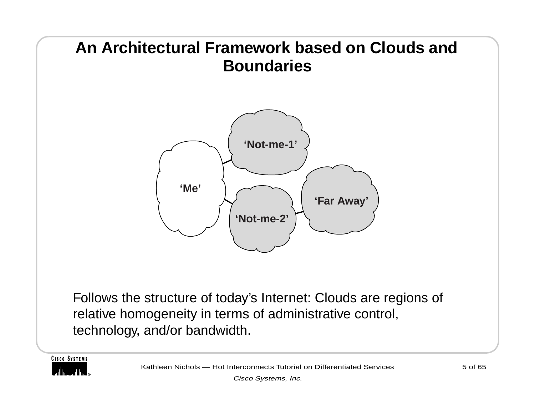

**CISCO SYSTEMS**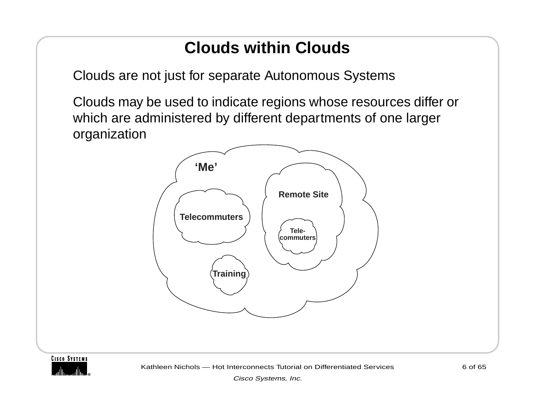#### **Clouds within Clouds**

Clouds are not just for separate Autonomous Systems

Clouds may be used to indicate regions whose resources differ or which are administered by different departments of one larger organization



**CISCO SYSTEMS** 

Kathleen Nichols — Hot Interconnects Tutorial on Differentiated Services

Cisco Systems, Inc.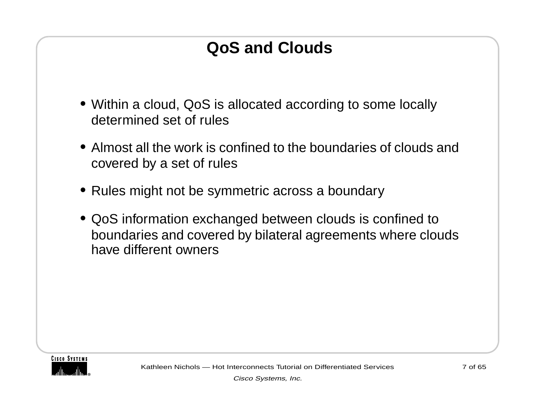#### **QoS and Clouds**

- **•** Within a cloud, QoS is allocated according to some locally determined set of rules
- **•** Almost all the work is confined to the boundaries of clouds and covered by a set of rules
- **•** Rules might not be symmetric across a boundary
- **•** QoS information exchanged between clouds is confined to boundaries and covered by bilateral agreements where clouds have different owners

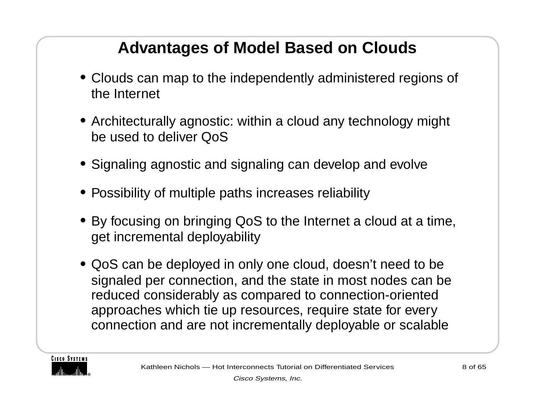#### **Advantages of Model Based on Clouds**

- **•** Clouds can map to the independently administered regions of the Internet
- **•** Architecturally agnostic: within a cloud any technology might be used to deliver QoS
- **•** Signaling agnostic and signaling can develop and evolve
- **•** Possibility of multiple paths increases reliability
- **•** By focusing on bringing QoS to the Internet a cloud at a time, get incremental deployability
- **•** QoS can be deployed in only one cloud, doesn't need to be signaled per connection, and the state in most nodes can be reduced considerably as compared to connection-oriented approaches which tie up resources, require state for every connection and are not incrementally deployable or scalable

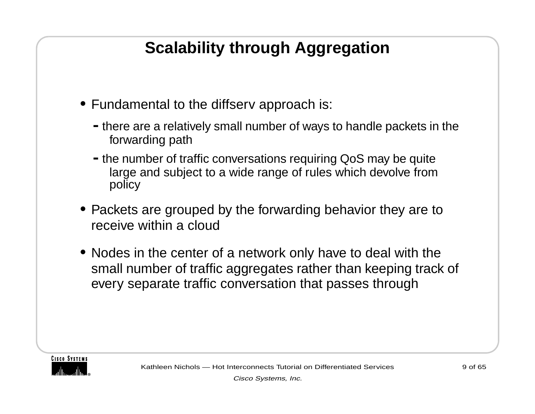#### **Scalability through Aggregation**

- **•** Fundamental to the diffserv approach is:
	- **-**there are a relatively small number of ways to handle packets in the forwarding path
	- **-**the number of traffic conversations requiring QoS may be quite large and subject to a wide range of rules which devolve from policy
- **•** Packets are grouped by the forwarding behavior they are to receive within a cloud
- **•** Nodes in the center of a network only have to deal with the small number of traffic aggregates rather than keeping track of every separate traffic conversation that passes through

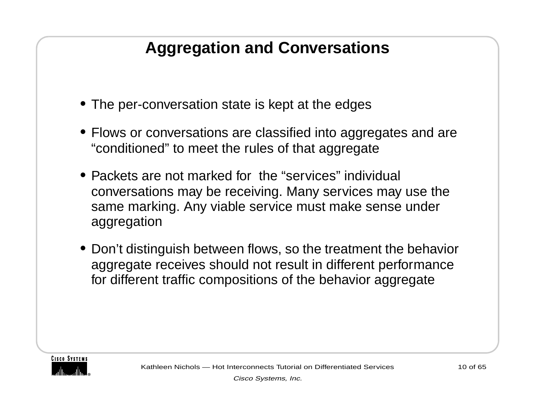#### **Aggregation and Conversations**

- **•** The per-conversation state is kept at the edges
- **•** Flows or conversations are classified into aggregates and are "conditioned" to meet the rules of that aggregate
- Packets are not marked for the "services" individual conversations may be receiving. Many services may use the same marking. Any viable service must make sense under aggregation
- **•** Don't distinguish between flows, so the treatment the behavior aggregate receives should not result in different performance for different traffic compositions of the behavior aggregate

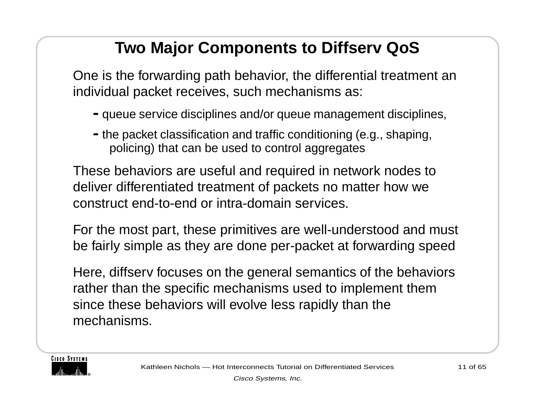#### **Two Major Components to Diffserv QoS**

One is the forwarding path behavior, the differential treatment an individual packet receives, such mechanisms as:

- **-**queue service disciplines and/or queue management disciplines,
- **-**the packet classification and traffic conditioning (e.g., shaping, policing) that can be used to control aggregates

These behaviors are useful and required in network nodes to deliver differentiated treatment of packets no matter how we construct end-to-end or intra-domain services.

For the most part, these primitives are well-understood and must be fairly simple as they are done per-packet at forwarding speed

Here, diffserv focuses on the general semantics of the behaviors rather than the specific mechanisms used to implement them since these behaviors will evolve less rapidly than the mechanisms.

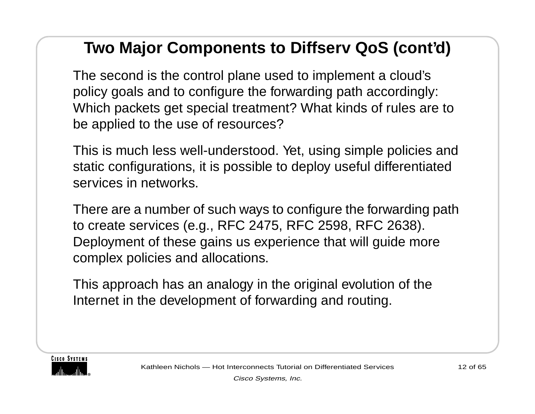#### **Two Major Components to Diffserv QoS (cont'd)**

The second is the control plane used to implement a cloud's policy goals and to configure the forwarding path accordingly: Which packets get special treatment? What kinds of rules are to be applied to the use of resources?

This is much less well-understood. Yet, using simple policies and static configurations, it is possible to deploy useful differentiated services in networks.

There are a number of such ways to configure the forwarding path to create services (e.g., RFC 2475, RFC 2598, RFC 2638). Deployment of these gains us experience that will guide more complex policies and allocations.

This approach has an analogy in the original evolution of the Internet in the development of forwarding and routing.

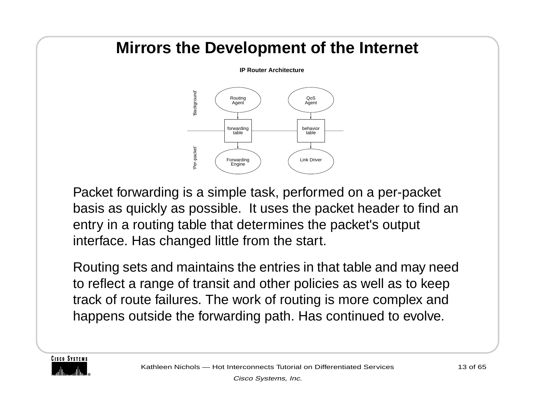#### **Mirrors the Development of the Internet**

**IP Router Architecture**



Packet forwarding is a simple task, performed on a per-packet basis as quickly as possible. It uses the packet header to find an entry in a routing table that determines the packet's output interface. Has changed little from the start.

Routing sets and maintains the entries in that table and may need to reflect a range of transit and other policies as well as to keep track of route failures. The work of routing is more complex and happens outside the forwarding path. Has continued to evolve.

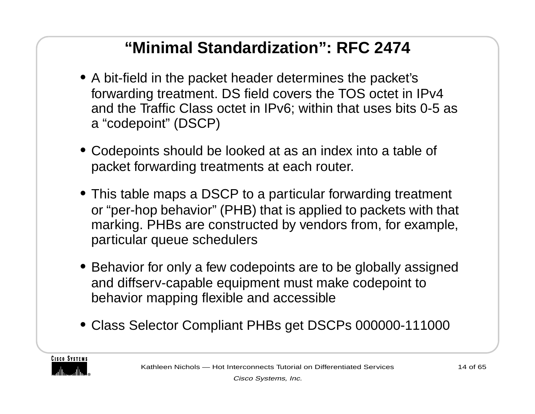#### **"Minimal Standardization": RFC 2474**

- **•** A bit-field in the packet header determines the packet's forwarding treatment. DS field covers the TOS octet in IPv4 and the Traffic Class octet in IPv6; within that uses bits 0-5 as <sup>a</sup>"codepoint" (DSCP)
- **•** Codepoints should be looked at as an index into a table of packet forwarding treatments at each router.
- **•** This table maps a DSCP to a particular forwarding treatment or "per-hop behavior" (PHB) that is applied to packets with that marking. PHBs are constructed by vendors from, for example, particular queue schedulers
- **•** Behavior for only a few codepoints are to be globally assigned and diffserv-capable equipment must make codepoint to behavior mapping flexible and accessible
- **•** Class Selector Compliant PHBs get DSCPs 000000-111000

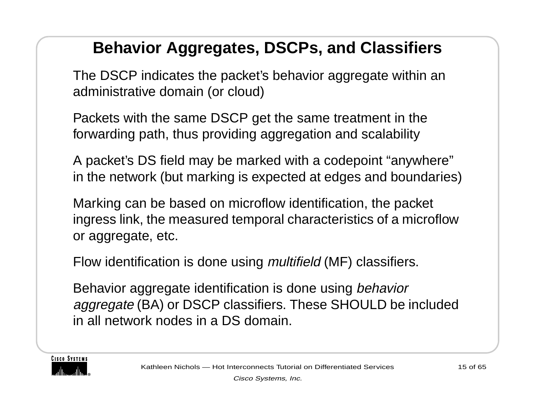#### **Behavior Aggregates, DSCPs, and Classifiers**

The DSCP indicates the packet's behavior aggregate within an administrative domain (or cloud)

Packets with the same DSCP get the same treatment in the forwarding path, thus providing aggregation and scalability

A packet's DS field may be marked with a codepoint "anywhere" in the network (but marking is expected at edges and boundaries)

Marking can be based on microflow identification, the packet ingress link, the measured temporal characteristics of a microflow or aggregate, etc.

Flow identification is done using *multifield* (MF) classifiers.

Behavior aggregate identification is done using behavior aggregate (BA) or DSCP classifiers. These SHOULD be included in all network nodes in a DS domain.

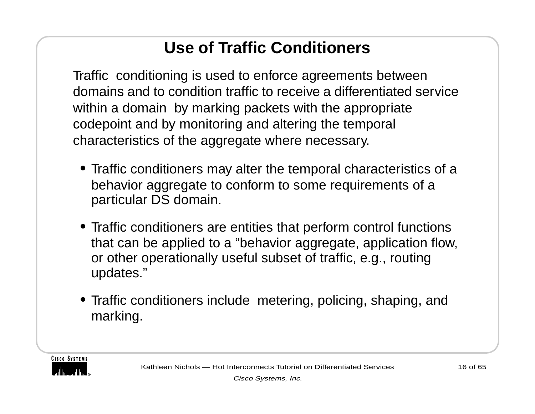### **Use of Traffic Conditioners**

Traffic conditioning is used to enforce agreements between domains and to condition traffic to receive a differentiated service within a domain by marking packets with the appropriate codepoint and by monitoring and altering the temporal characteristics of the aggregate where necessary.

- **•** Traffic conditioners may alter the temporal characteristics of a behavior aggregate to conform to some requirements of a particular DS domain.
- **•** Traffic conditioners are entities that perform control functions that can be applied to a "behavior aggregate, application flow, or other operationally useful subset of traffic, e.g., routing updates."
- **•** Traffic conditioners include metering, policing, shaping, and marking.

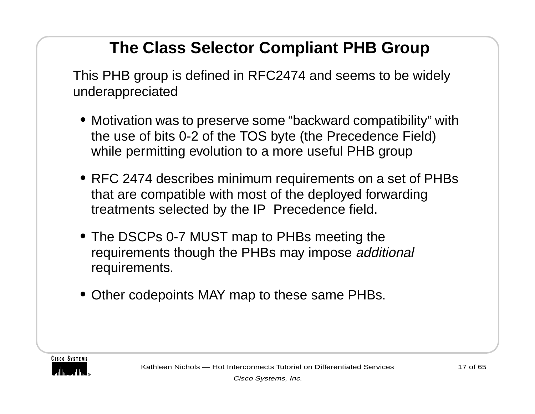#### **The Class Selector Compliant PHB Group**

This PHB group is defined in RFC2474 and seems to be widely underappreciated

- **•** Motivation was to preserve some "backward compatibility" with the use of bits 0-2 of the TOS byte (the Precedence Field) while permitting evolution to a more useful PHB group
- **•** RFC 2474 describes minimum requirements on a set of PHBs that are compatible with most of the deployed forwarding treatments selected by the IP Precedence field.
- **•** The DSCPs 0-7 MUST map to PHBs meeting the requirements though the PHBs may impose additional requirements.
- **•** Other codepoints MAY map to these same PHBs.

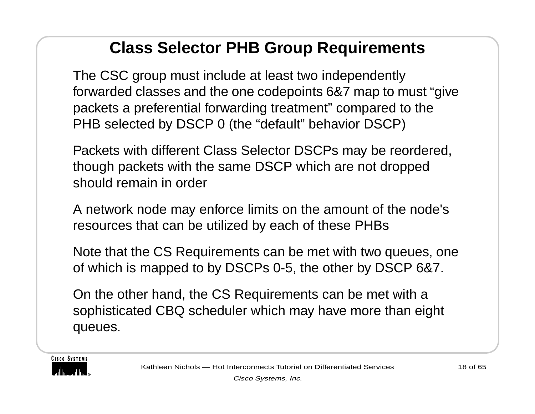#### **Class Selector PHB Group Requirements**

The CSC group must include at least two independently forwarded classes and the one codepoints 6&7 map to must "give packets a preferential forwarding treatment" compared to the PHB selected by DSCP 0 (the "default" behavior DSCP)

Packets with different Class Selector DSCPs may be reordered, though packets with the same DSCP which are not dropped should remain in order

A network node may enforce limits on the amount of the node's resources that can be utilized by each of these PHBs

Note that the CS Requirements can be met with two queues, one of which is mapped to by DSCPs 0-5, the other by DSCP 6&7.

On the other hand, the CS Requirements can be met with a sophisticated CBQ scheduler which may have more than eight queues.

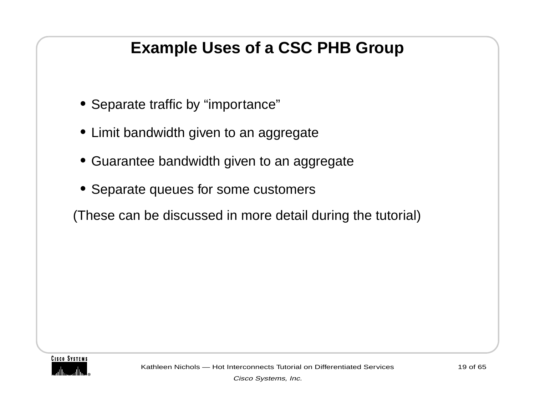#### **Example Uses of a CSC PHB Group**

- **•** Separate traffic by "importance"
- **•** Limit bandwidth given to an aggregate
- **•** Guarantee bandwidth given to an aggregate
- **•** Separate queues for some customers

(These can be discussed in more detail during the tutorial)

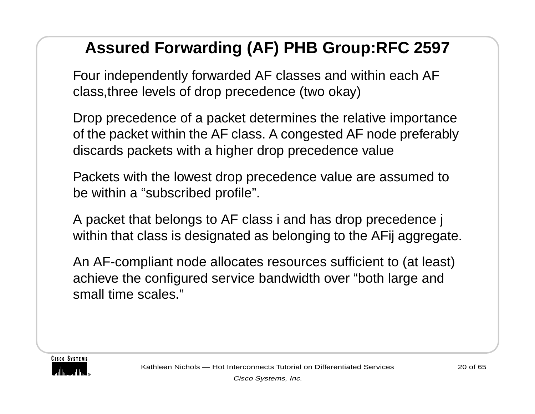#### **Assured Forwarding (AF) PHB Group:RFC 2597**

Four independently forwarded AF classes and within each AF class,three levels of drop precedence (two okay)

Drop precedence of a packet determines the relative importance of the packet within the AF class. A congested AF node preferably discards packets with a higher drop precedence value

Packets with the lowest drop precedence value are assumed to be within a "subscribed profile".

A packet that belongs to AF class i and has drop precedence j within that class is designated as belonging to the AFij aggregate.

An AF-compliant node allocates resources sufficient to (at least) achieve the configured service bandwidth over "both large and small time scales."

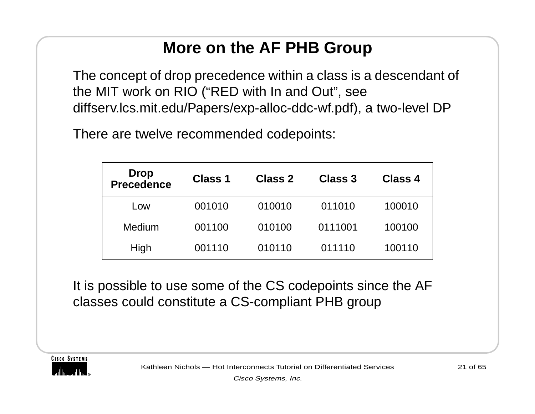#### **More on the AF PHB Group**

The concept of drop precedence within a class is a descendant of the MIT work on RIO ("RED with In and Out", see diffserv.lcs.mit.edu/Papers/exp-alloc-ddc-wf.pdf), a two-level DP

There are twelve recommended codepoints:

| <b>Drop</b><br><b>Precedence</b> | <b>Class 1</b> | Class 2 | Class 3 | Class 4 |
|----------------------------------|----------------|---------|---------|---------|
| Low                              | 001010         | 010010  | 011010  | 100010  |
| Medium                           | 001100         | 010100  | 0111001 | 100100  |
| High                             | 001110         | 010110  | 011110  | 100110  |

It is possible to use some of the CS codepoints since the AF classes could constitute a CS-compliant PHB group

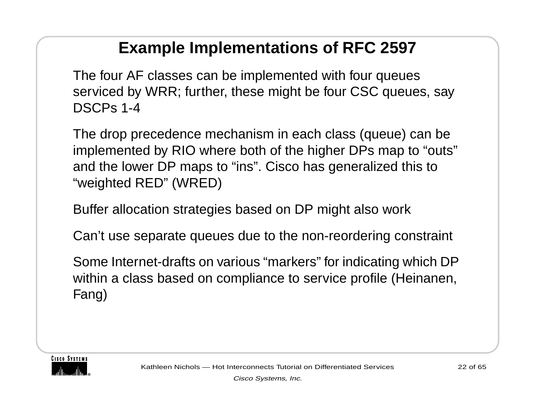#### **Example Implementations of RFC 2597**

The four AF classes can be implemented with four queues serviced by WRR; further, these might be four CSC queues, say DSCPs 1-4

The drop precedence mechanism in each class (queue) can be implemented by RIO where both of the higher DPs map to "outs" and the lower DP maps to "ins". Cisco has generalized this to "weighted RED" (WRED)

Buffer allocation strategies based on DP might also work

Can't use separate queues due to the non-reordering constraint

Some Internet-drafts on various "markers" for indicating which DP within a class based on compliance to service profile (Heinanen, Fang)

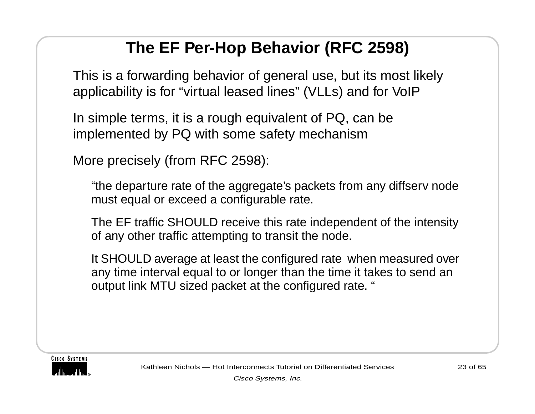#### **The EF Per-Hop Behavior (RFC 2598)**

This is a forwarding behavior of general use, but its most likely applicability is for "virtual leased lines" (VLLs) and for VoIP

In simple terms, it is a rough equivalent of PQ, can be implemented by PQ with some safety mechanism

More precisely (from RFC 2598):

"the departure rate of the aggregate's packets from any diffserv node must equal or exceed a configurable rate.

The EF traffic SHOULD receive this rate independent of the intensity of any other traffic attempting to transit the node.

It SHOULD average at least the configured rate when measured over any time interval equal to or longer than the time it takes to send an output link MTU sized packet at the configured rate. "

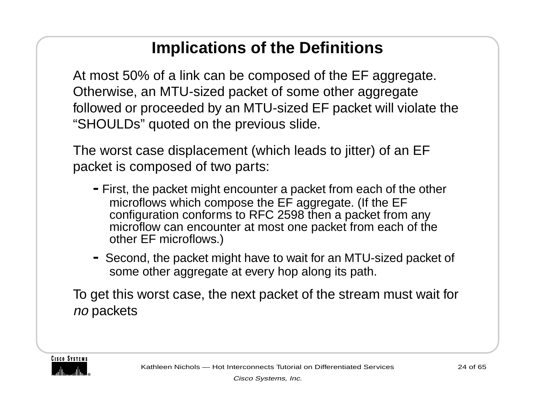#### **Implications of the Definitions**

At most 50% of a link can be composed of the EF aggregate. Otherwise, an MTU-sized packet of some other aggregate followed or proceeded by an MTU-sized EF packet will violate the "SHOULDs" quoted on the previous slide.

The worst case displacement (which leads to jitter) of an EF packet is composed of two parts:

- **-**First, the packet might encounter a packet from each of the other microflows which compose the EF aggregate. (If the EF configuration conforms to RFC 2598 then a packet from any microflow can encounter at most one packet from each of the other EF microflows.)
- **-** Second, the packet might have to wait for an MTU-sized packet of some other aggregate at every hop along its path.

To get this worst case, the next packet of the stream must wait for no packets

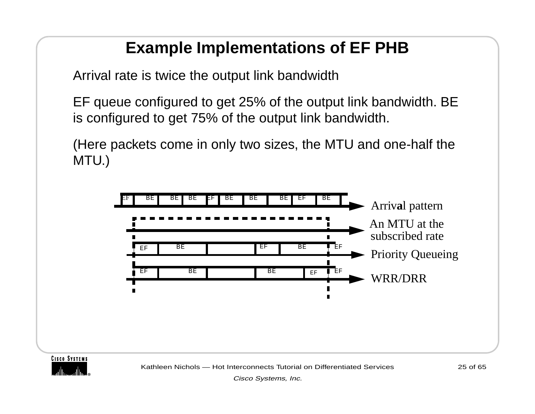#### **Example Implementations of EF PHB**

Arrival rate is twice the output link bandwidth

EF queue configured to get 25% of the output link bandwidth. BE is configured to get 75% of the output link bandwidth.

(Here packets come in only two sizes, the MTU and one-half the MTU.)





Kathleen Nichols — Hot Interconnects Tutorial on Differentiated Services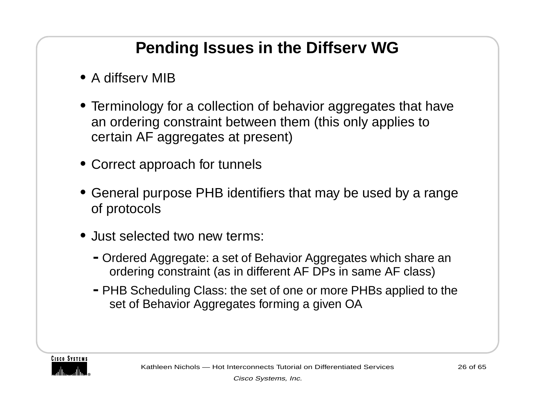#### **Pending Issues in the Diffserv WG**

- **•** A diffserv MIB
- **•** Terminology for a collection of behavior aggregates that have an ordering constraint between them (this only applies to certain AF aggregates at present)
- **•** Correct approach for tunnels
- **•** General purpose PHB identifiers that may be used by a range of protocols
- **•** Just selected two new terms:
	- **-**Ordered Aggregate: a set of Behavior Aggregates which share an ordering constraint (as in different AF DPs in same AF class)
	- **-**PHB Scheduling Class: the set of one or more PHBs applied to the set of Behavior Aggregates forming a given OA

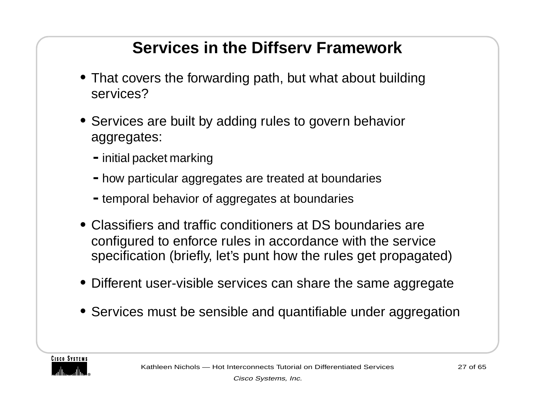#### **Services in the Diffserv Framework**

- **•** That covers the forwarding path, but what about building services?
- **•** Services are built by adding rules to govern behavior aggregates:
	- **-**initial packet marking
	- **-**how particular aggregates are treated at boundaries
	- **-**temporal behavior of aggregates at boundaries
- **•** Classifiers and traffic conditioners at DS boundaries are configured to enforce rules in accordance with the service specification (briefly, let's punt how the rules get propagated)
- **•** Different user-visible services can share the same aggregate
- **•** Services must be sensible and quantifiable under aggregation

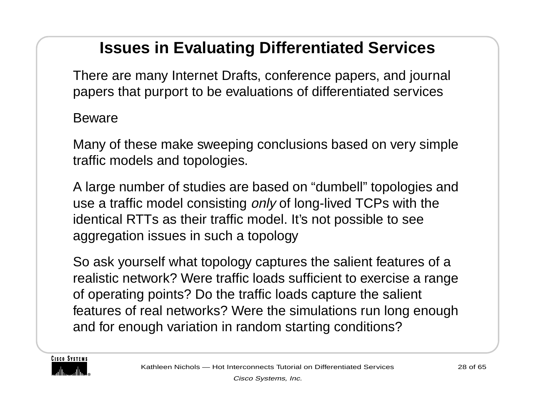#### **Issues in Evaluating Differentiated Services**

There are many Internet Drafts, conference papers, and journal papers that purport to be evaluations of differentiated services

Beware

Many of these make sweeping conclusions based on very simple traffic models and topologies.

A large number of studies are based on "dumbell" topologies and use a traffic model consisting *only* of long-lived TCPs with the identical RTTs as their traffic model. It's not possible to see aggregation issues in such a topology

So ask yourself what topology captures the salient features of a realistic network? Were traffic loads sufficient to exercise a range of operating points? Do the traffic loads capture the salient features of real networks? Were the simulations run long enough and for enough variation in random starting conditions?

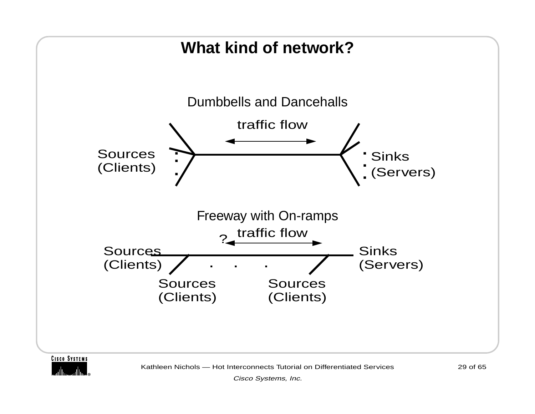

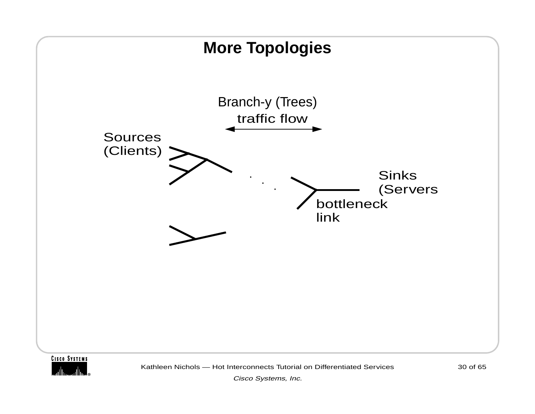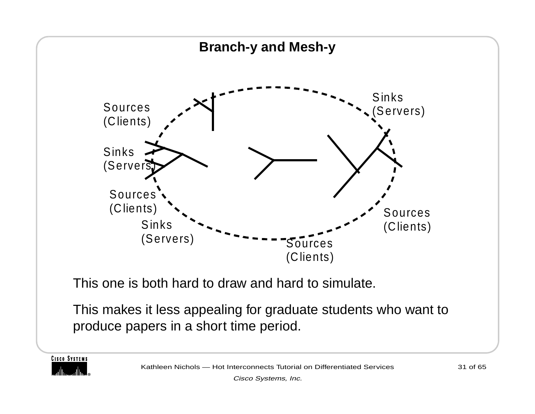

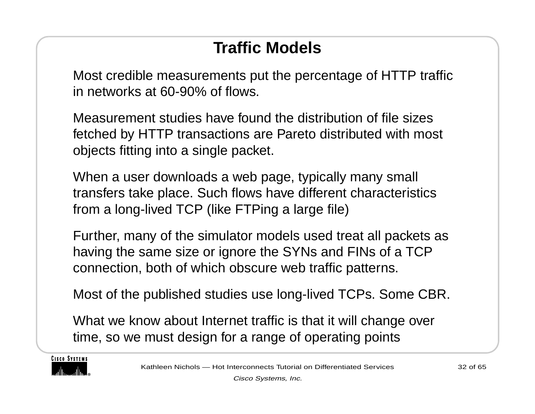#### **Traffic Models**

Most credible measurements put the percentage of HTTP traffic in networks at 60-90% of flows.

Measurement studies have found the distribution of file sizes fetched by HTTP transactions are Pareto distributed with most objects fitting into a single packet.

When a user downloads a web page, typically many small transfers take place. Such flows have different characteristics from a long-lived TCP (like FTPing a large file)

Further, many of the simulator models used treat all packets as having the same size or ignore the SYNs and FINs of a TCP connection, both of which obscure web traffic patterns.

Most of the published studies use long-lived TCPs. Some CBR.

What we know about Internet traffic is that it will change over time, so we must design for a range of operating points

**CISCO SYSTEMS** 

Kathleen Nichols — Hot Interconnects Tutorial on Differentiated Services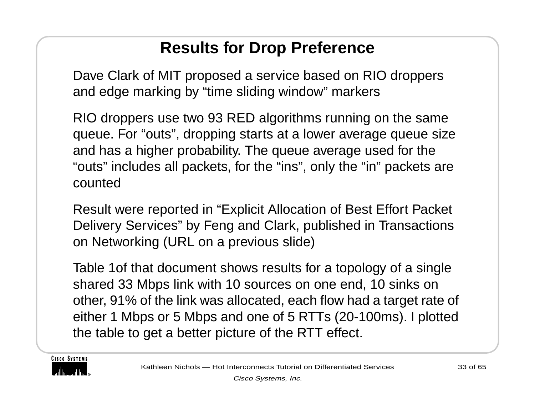#### **Results for Drop Preference**

Dave Clark of MIT proposed a service based on RIO droppers and edge marking by "time sliding window" markers

RIO droppers use two 93 RED algorithms running on the same queue. For "outs", dropping starts at a lower average queue size and has a higher probability. The queue average used for the "outs" includes all packets, for the "ins", only the "in" packets are counted

Result were reported in "Explicit Allocation of Best Effort Packet Delivery Services" by Feng and Clark, published in Transactions on Networking (URL on a previous slide)

Table 1of that document shows results for a topology of a single shared 33 Mbps link with 10 sources on one end, 10 sinks on other, 91% of the link was allocated, each flow had a target rate of either 1 Mbps or 5 Mbps and one of 5 RTTs (20-100ms). I plotted the table to get a better picture of the RTT effect.

**CISCO SYSTEMS**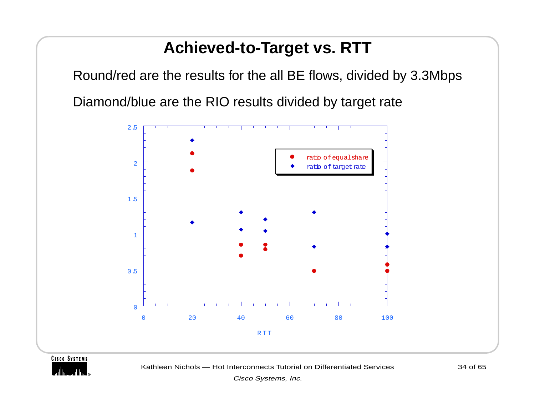#### **Achieved-to-Target vs. RTT**

Round/red are the results for the all BE flows, divided by 3.3Mbps Diamond/blue are the RIO results divided by target rate



#### **CISCO SYSTEMS**



34 of 65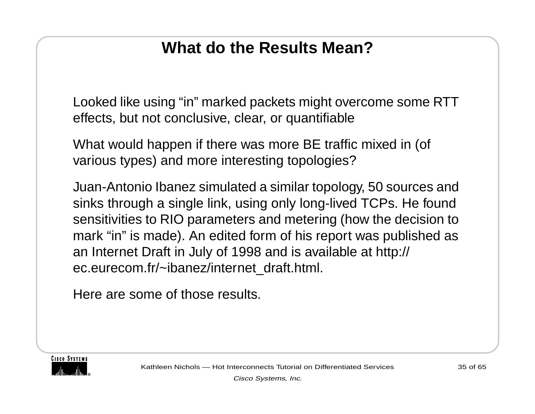#### **What do the Results Mean?**

Looked like using "in" marked packets might overcome some RTT effects, but not conclusive, clear, or quantifiable

What would happen if there was more BE traffic mixed in (of various types) and more interesting topologies?

Juan-Antonio Ibanez simulated a similar topology, 50 sources and sinks through a single link, using only long-lived TCPs. He found sensitivities to RIO parameters and metering (how the decision to mark "in" is made). An edited form of his report was published as an Internet Draft in July of 1998 and is available at http:// ec.eurecom.fr/~ibanez/internet\_draft.html.

Here are some of those results.

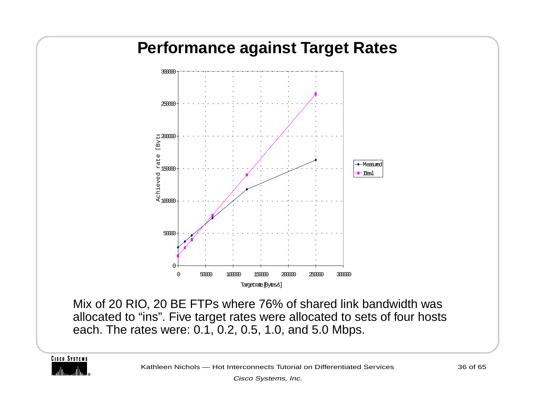

Mix of 20 RIO, 20 BE FTPs where 76% of shared link bandwidth was allocated to "ins". Five target rates were allocated to sets of four hosts each. The rates were: 0.1, 0.2, 0.5, 1.0, and 5.0 Mbps.

**CISCO SYSTEMS** 

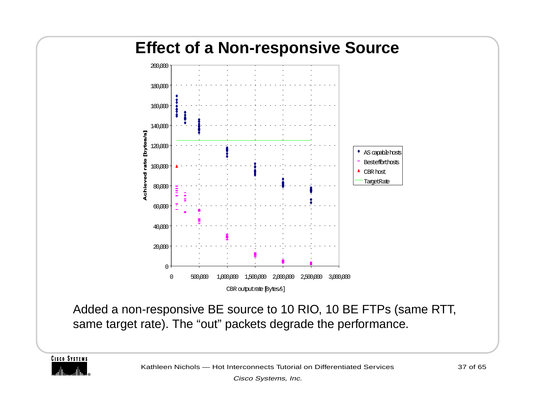## **Effect of a Non-responsive Source**



Added a non-responsive BE source to 10 RIO, 10 BE FTPs (same RTT, same target rate). The "out" packets degrade the performance.

**CISCO SYSTEMS**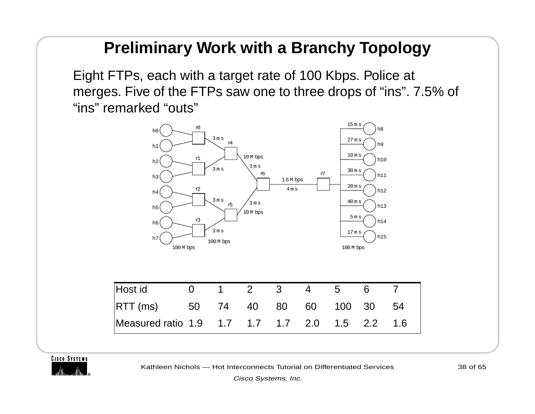#### **Preliminary Work with a Branchy Topology**

Eight FTPs, each with a target rate of 100 Kbps. Police at merges. Five of the FTPs saw one to three drops of "ins". 7.5% of "ins" remarked "outs"



**CISCO SYSTEMS** 



Kathleen Nichols — Hot Interconnects Tutorial on Differentiated Services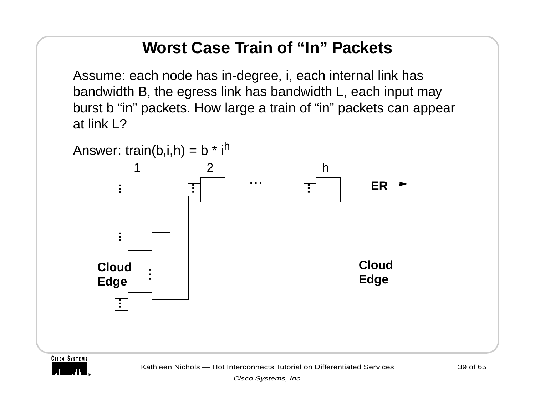#### **Worst Case Train of "In" Packets**

Assume: each node has in-degree, i, each internal link has bandwidth B, the egress link has bandwidth L, each input may burst b "in" packets. How large a train of "in" packets can appear at link L?





Kathleen Nichols — Hot Interconnects Tutorial on Differentiated Services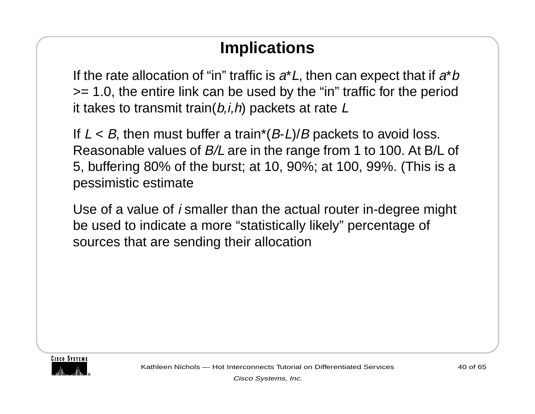#### **Implications**

If the rate allocation of "in" traffic is  $a^*L$ , then can expect that if  $a^*b$ >= 1.0, the entire link can be used by the "in" traffic for the period it takes to transmit train $(b, i, h)$  packets at rate  $L$ 

If  $L < B$ , then must buffer a train\*(B-L)/B packets to avoid loss. Reasonable values of B/L are in the range from 1 to 100. At B/L of 5, buffering 80% of the burst; at 10, 90%; at 100, 99%. (This is a pessimistic estimate

Use of a value of  $i$  smaller than the actual router in-degree might be used to indicate a more "statistically likely" percentage of sources that are sending their allocation

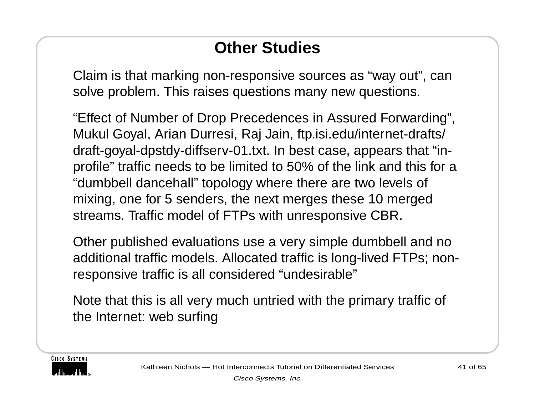#### **Other Studies**

Claim is that marking non-responsive sources as "way out", can solve problem. This raises questions many new questions.

"Effect of Number of Drop Precedences in Assured Forwarding", Mukul Goyal, Arian Durresi, Raj Jain, ftp.isi.edu/internet-drafts/ draft-goyal-dpstdy-diffserv-01.txt. In best case, appears that "inprofile" traffic needs to be limited to 50% of the link and this for a "dumbbell dancehall" topology where there are two levels of mixing, one for 5 senders, the next merges these 10 merged streams. Traffic model of FTPs with unresponsive CBR.

Other published evaluations use a very simple dumbbell and no additional traffic models. Allocated traffic is long-lived FTPs; nonresponsive traffic is all considered "undesirable"

Note that this is all very much untried with the primary traffic of the Internet: web surfing

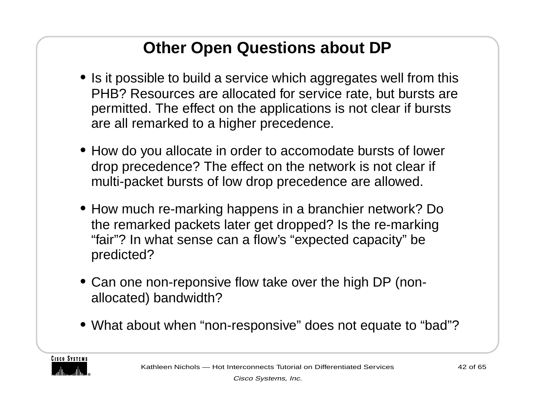#### **Other Open Questions about DP**

- **•** Is it possible to build a service which aggregates well from this PHB? Resources are allocated for service rate, but bursts are permitted. The effect on the applications is not clear if bursts are all remarked to a higher precedence.
- **•** How do you allocate in order to accomodate bursts of lower drop precedence? The effect on the network is not clear if multi-packet bursts of low drop precedence are allowed.
- **•** How much re-marking happens in a branchier network? Do the remarked packets later get dropped? Is the re-marking "fair"? In what sense can a flow's "expected capacity" be predicted?
- **•** Can one non-reponsive flow take over the high DP (nonallocated) bandwidth?
- **•** What about when "non-responsive" does not equate to "bad"?

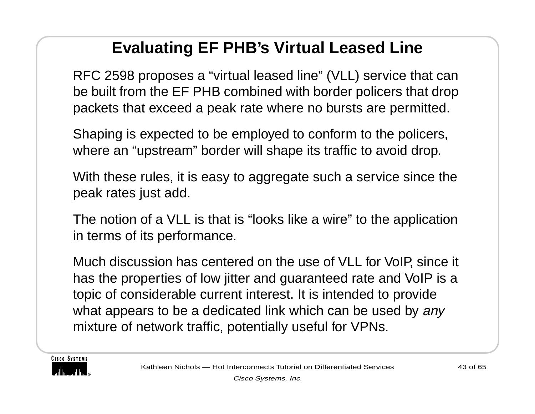#### **Evaluating EF PHB's Virtual Leased Line**

RFC 2598 proposes a "virtual leased line" (VLL) service that can be built from the EF PHB combined with border policers that drop packets that exceed a peak rate where no bursts are permitted.

Shaping is expected to be employed to conform to the policers, where an "upstream" border will shape its traffic to avoid drop.

With these rules, it is easy to aggregate such a service since the peak rates just add.

The notion of a VLL is that is "looks like a wire" to the application in terms of its performance.

Much discussion has centered on the use of VLL for VoIP, since it has the properties of low jitter and guaranteed rate and VoIP is a topic of considerable current interest. It is intended to provide what appears to be a dedicated link which can be used by any mixture of network traffic, potentially useful for VPNs.

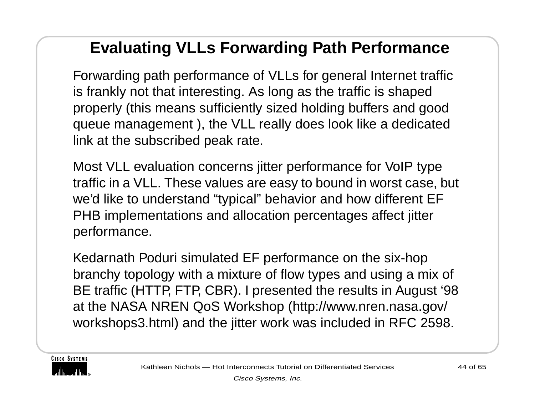#### **Evaluating VLLs Forwarding Path Performance**

Forwarding path performance of VLLs for general Internet traffic is frankly not that interesting. As long as the traffic is shaped properly (this means sufficiently sized holding buffers and good queue management ), the VLL really does look like a dedicated link at the subscribed peak rate.

Most VLL evaluation concerns jitter performance for VoIP type traffic in a VLL. These values are easy to bound in worst case, but we'd like to understand "typical" behavior and how different EF PHB implementations and allocation percentages affect jitter performance.

Kedarnath Poduri simulated EF performance on the six-hop branchy topology with a mixture of flow types and using a mix of BE traffic (HTTP, FTP, CBR). I presented the results in August '98 at the NASA NREN QoS Workshop (http://www.nren.nasa.gov/ workshops3.html) and the jitter work was included in RFC 2598.

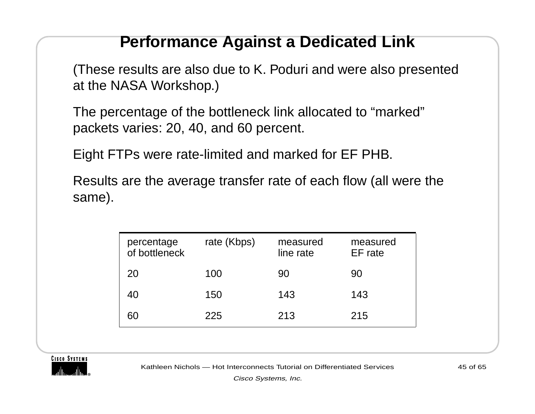#### **Performance Against a Dedicated Link**

(These results are also due to K. Poduri and were also presented at the NASA Workshop.)

The percentage of the bottleneck link allocated to "marked" packets varies: 20, 40, and 60 percent.

Eight FTPs were rate-limited and marked for EF PHB.

Results are the average transfer rate of each flow (all were the same).

| percentage<br>of bottleneck | rate (Kbps) | measured<br>line rate | measured<br>EF rate |
|-----------------------------|-------------|-----------------------|---------------------|
| 20                          | 100         | 90                    | 90                  |
| 40                          | 150         | 143                   | 143                 |
| 60                          | 225         | 213                   | 215                 |



Kathleen Nichols — Hot Interconnects Tutorial on Differentiated Services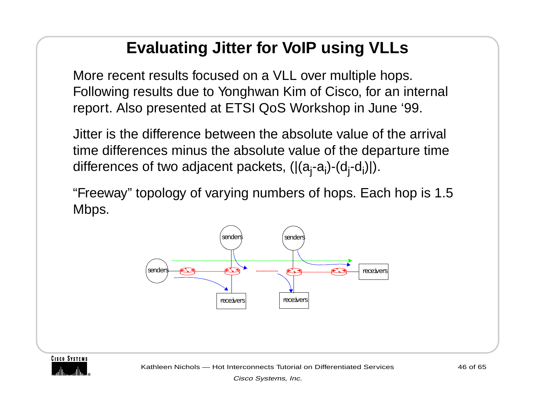#### **Evaluating Jitter for VoIP using VLLs**

More recent results focused on a VLL over multiple hops. Following results due to Yonghwan Kim of Cisco, for an internal report. Also presented at ETSI QoS Workshop in June '99.

Jitter is the difference between the absolute value of the arrival time differences minus the absolute value of the departure time differences of two adjacent packets,  $(|(a_i-a_i)-(d_i-d_i)|)$ .

"Freeway" topology of varying numbers of hops. Each hop is 1.5 Mbps.



**CISCO SYSTEMS** 

Kathleen Nichols — Hot Interconnects Tutorial on Differentiated Services

46 of 65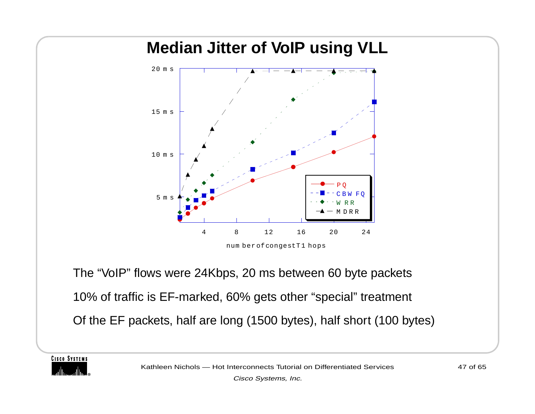# **Median Jitter of VoIP using VLL** 10 m <sup>s</sup> 15 m <sup>s</sup> 20 m <sup>s</sup>

num ber of congest T1 hops

4 8 12 16 20 24

P Q

W RR DRR

FQ

The "VoIP" flows were 24Kbps, 20 ms between 60 byte packets 10% of traffic is EF-marked, 60% gets other "special" treatment Of the EF packets, half are long (1500 bytes), half short (100 bytes)

5 m <sup>s</sup>

**CISCO SYSTEMS**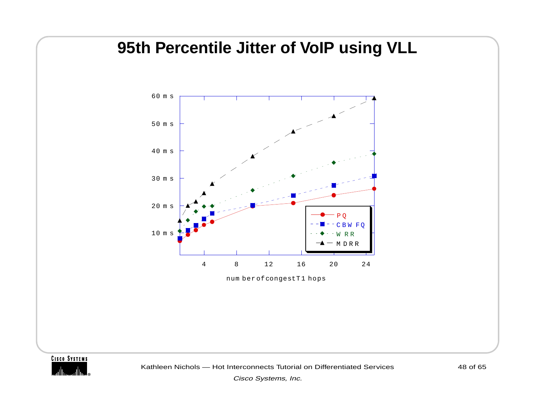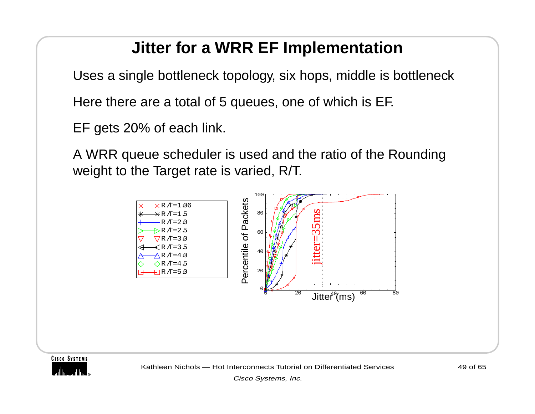#### **Jitter for a WRR EF Implementation**

Uses a single bottleneck topology, six hops, middle is bottleneck

Here there are a total of 5 queues, one of which is EF.

EF gets 20% of each link.

A WRR queue scheduler is used and the ratio of the Rounding weight to the Target rate is varied, R/T.



**CISCO SYSTEMS** 

Kathleen Nichols — Hot Interconnects Tutorial on Differentiated Services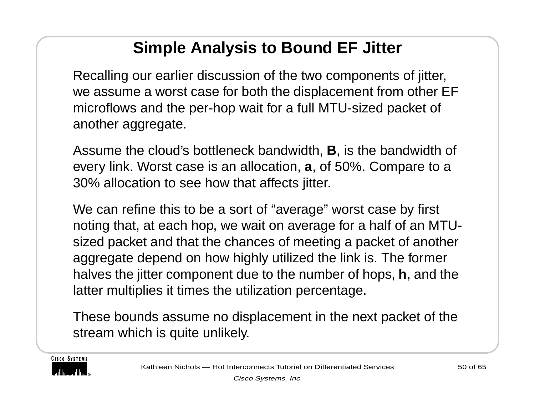#### **Simple Analysis to Bound EF Jitter**

Recalling our earlier discussion of the two components of jitter, we assume a worst case for both the displacement from other EF microflows and the per-hop wait for a full MTU-sized packet of another aggregate.

Assume the cloud's bottleneck bandwidth, **B**, is the bandwidth of every link. Worst case is an allocation, **<sup>a</sup>**, of 50%. Compare to a 30% allocation to see how that affects jitter.

We can refine this to be a sort of "average" worst case by first noting that, at each hop, we wait on average for a half of an MTUsized packet and that the chances of meeting a packet of another aggregate depend on how highly utilized the link is. The former halves the jitter component due to the number of hops, **h**, and the latter multiplies it times the utilization percentage.

These bounds assume no displacement in the next packet of the stream which is quite unlikely.

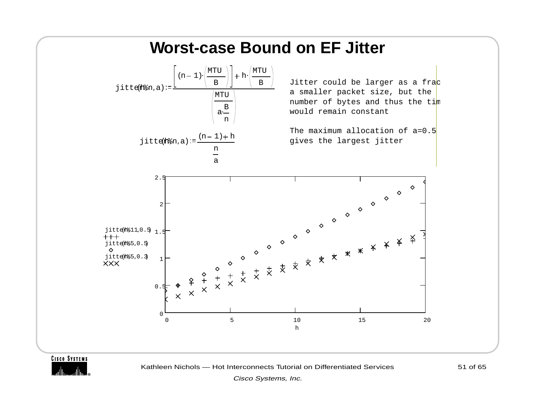

**CISCO SYSTEMS** 

Kathleen Nichols — Hot Interconnects Tutorial on Differentiated Services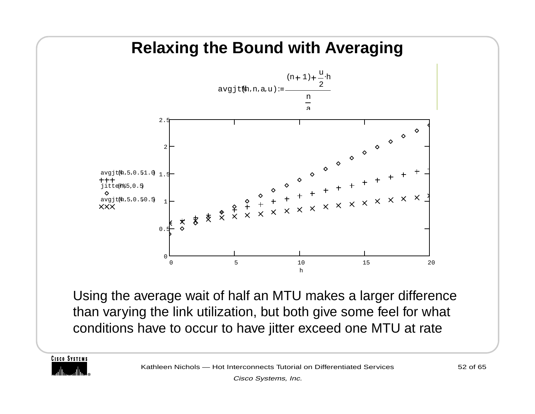#### **Relaxing the Bound with Averaging**



Using the average wait of half an MTU makes a larger difference than varying the link utilization, but both give some feel for what conditions have to occur to have jitter exceed one MTU at rate

**CISCO SYSTEMS**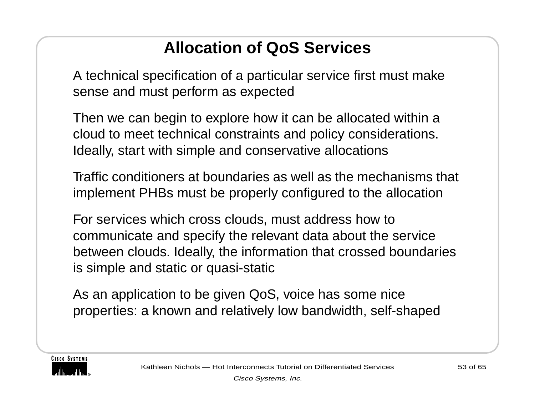### **Allocation of QoS Services**

A technical specification of a particular service first must make sense and must perform as expected

Then we can begin to explore how it can be allocated within a cloud to meet technical constraints and policy considerations. Ideally, start with simple and conservative allocations

Traffic conditioners at boundaries as well as the mechanisms that implement PHBs must be properly configured to the allocation

For services which cross clouds, must address how to communicate and specify the relevant data about the service between clouds. Ideally, the information that crossed boundaries is simple and static or quasi-static

As an application to be given QoS, voice has some nice properties: a known and relatively low bandwidth, self-shaped

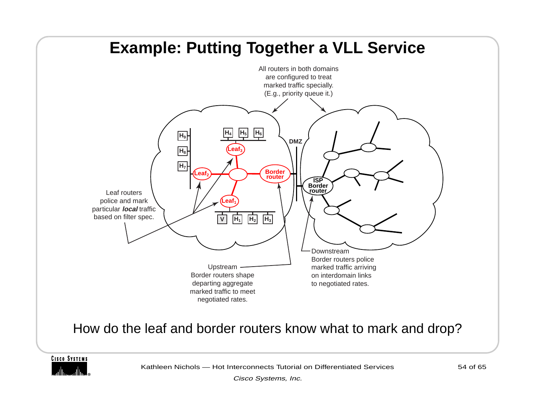

**CISCO SYSTEMS** 

Kathleen Nichols — Hot Interconnects Tutorial on Differentiated Services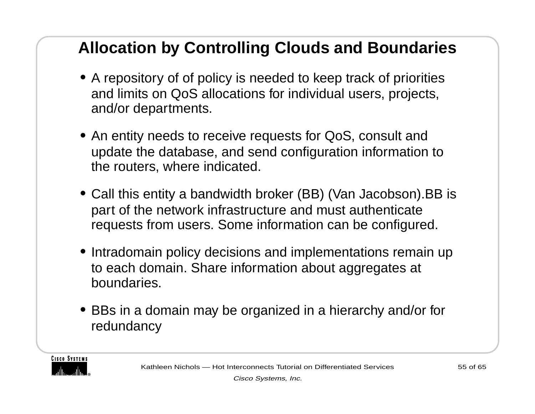#### **Allocation by Controlling Clouds and Boundaries**

- **•** A repository of of policy is needed to keep track of priorities and limits on QoS allocations for individual users, projects, and/or departments.
- **•** An entity needs to receive requests for QoS, consult and update the database, and send configuration information to the routers, where indicated.
- **•** Call this entity a bandwidth broker (BB) (Van Jacobson).BB is part of the network infrastructure and must authenticate requests from users. Some information can be configured.
- **•** Intradomain policy decisions and implementations remain up to each domain. Share information about aggregates at boundaries.
- **•** BBs in a domain may be organized in a hierarchy and/or for redundancy

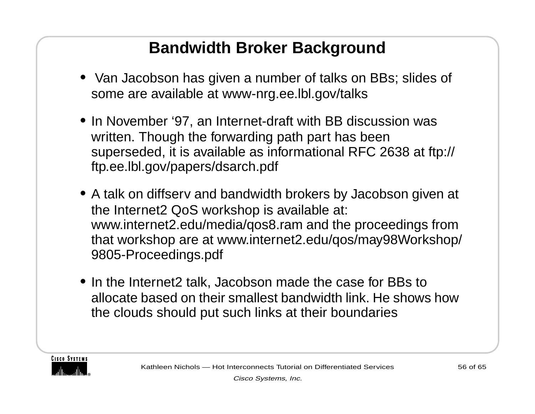#### **Bandwidth Broker Background**

- **•** Van Jacobson has given a number of talks on BBs; slides of some are available at www-nrg.ee.lbl.gov/talks
- **•** In November '97, an Internet-draft with BB discussion was written. Though the forwarding path part has been superseded, it is available as informational RFC 2638 at ftp:// ftp.ee.lbl.gov/papers/dsarch.pdf
- **•** A talk on diffserv and bandwidth brokers by Jacobson given at the Internet2 QoS workshop is available at: www.internet2.edu/media/qos8.ram and the proceedings from that workshop are at www.internet2.edu/qos/may98Workshop/ 9805-Proceedings.pdf
- **•** In the Internet2 talk, Jacobson made the case for BBs to allocate based on their smallest bandwidth link. He shows how the clouds should put such links at their boundaries

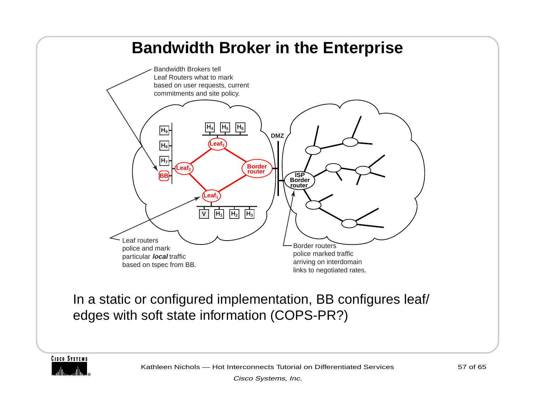#### **Bandwidth Broker in the Enterprise**



In a static or configured implementation, BB configures leaf/ edges with soft state information (COPS-PR?)

**CISCO SYSTEMS**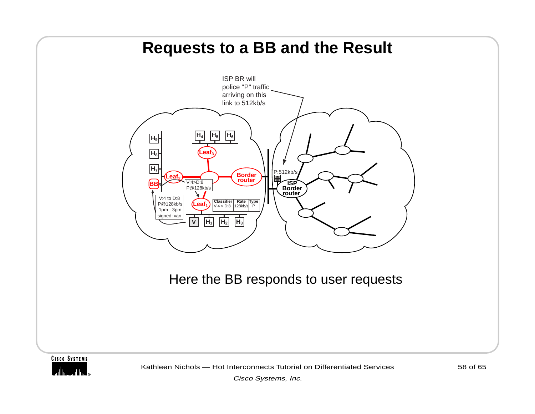

Kathleen Nichols — Hot Interconnects Tutorial on Differentiated Services

Cisco Systems, Inc.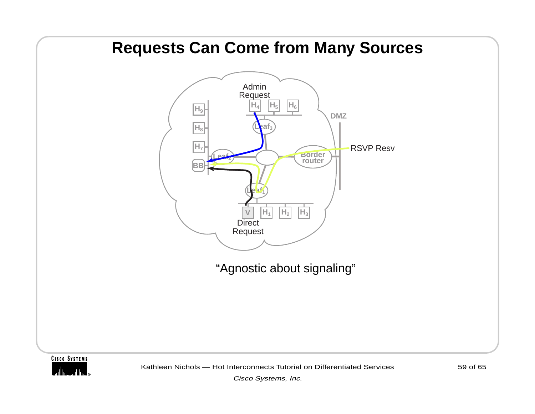#### **Requests Can Come from Many Sources**



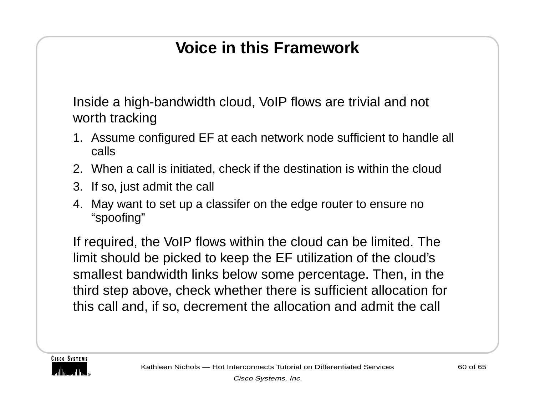#### **Voice in this Framework**

Inside a high-bandwidth cloud, VoIP flows are trivial and not worth tracking

- 1. Assume configured EF at each network node sufficient to handle all calls
- 2. When a call is initiated, check if the destination is within the cloud
- 3. If so, just admit the call
- 4. May want to set up a classifer on the edge router to ensure no "spoofing"

If required, the VoIP flows within the cloud can be limited. The limit should be picked to keep the EF utilization of the cloud's smallest bandwidth links below some percentage. Then, in the third step above, check whether there is sufficient allocation for this call and, if so, decrement the allocation and admit the call

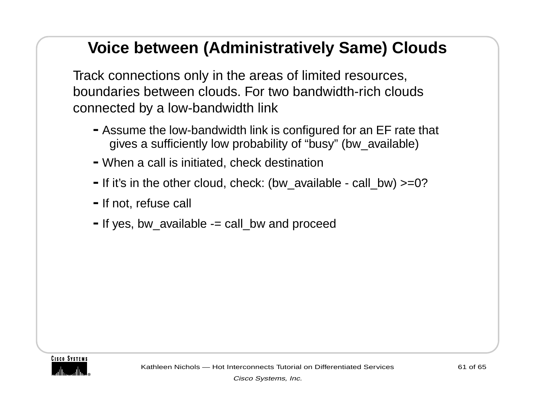#### **Voice between (Administratively Same) Clouds**

Track connections only in the areas of limited resources, boundaries between clouds. For two bandwidth-rich clouds connected by a low-bandwidth link

- **-**Assume the low-bandwidth link is configured for an EF rate that gives a sufficiently low probability of "busy" (bw\_available)
- **-**When a call is initiated, check destination
- **-**If it's in the other cloud, check: (bw\_available call\_bw) >=0?
- **-**If not, refuse call
- **-**If yes, bw\_available -= call\_bw and proceed

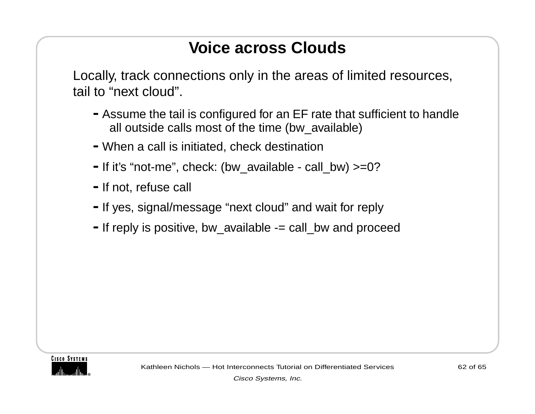#### **Voice across Clouds**

Locally, track connections only in the areas of limited resources, tail to "next cloud".

- **-**Assume the tail is configured for an EF rate that sufficient to handle all outside calls most of the time (bw\_available)
- **-**When a call is initiated, check destination
- **-**If it's "not-me", check: (bw\_available call\_bw) >=0?
- **-**If not, refuse call
- **-**If yes, signal/message "next cloud" and wait for reply
- **-**If reply is positive, bw\_available -= call\_bw and proceed

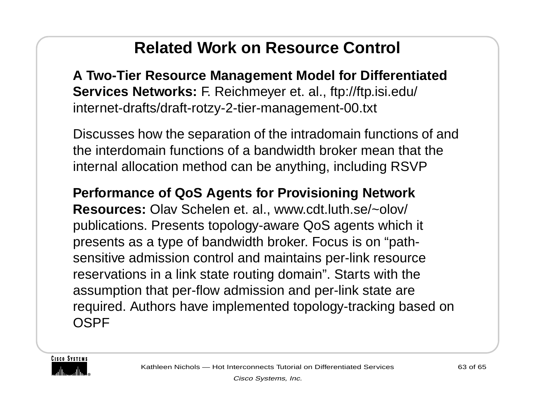#### **Related Work on Resource Control**

**A Two-Tier Resource Management Model for Differentiated Services Networks:** F. Reichmeyer et. al., ftp://ftp.isi.edu/ internet-drafts/draft-rotzy-2-tier-management-00.txt

Discusses how the separation of the intradomain functions of and the interdomain functions of a bandwidth broker mean that the internal allocation method can be anything, including RSVP

#### **Performance of QoS Agents for Provisioning Network**

**Resources:** Olav Schelen et. al., www.cdt.luth.se/~olov/ publications. Presents topology-aware QoS agents which it presents as a type of bandwidth broker. Focus is on "pathsensitive admission control and maintains per-link resource reservations in a link state routing domain". Starts with the assumption that per-flow admission and per-link state are required. Authors have implemented topology-tracking based on **OSPF** 

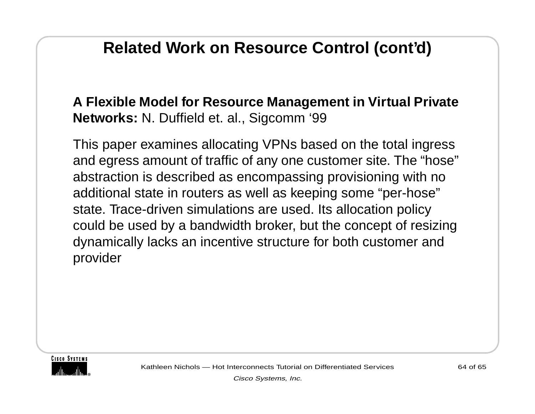#### **Related Work on Resource Control (cont'd)**

#### **A Flexible Model for Resource Management in Virtual Private Networks:** N. Duffield et. al., Sigcomm '99

This paper examines allocating VPNs based on the total ingress and egress amount of traffic of any one customer site. The "hose" abstraction is described as encompassing provisioning with no additional state in routers as well as keeping some "per-hose" state. Trace-driven simulations are used. Its allocation policy could be used by a bandwidth broker, but the concept of resizing dynamically lacks an incentive structure for both customer and provider



Kathleen Nichols — Hot Interconnects Tutorial on Differentiated Services